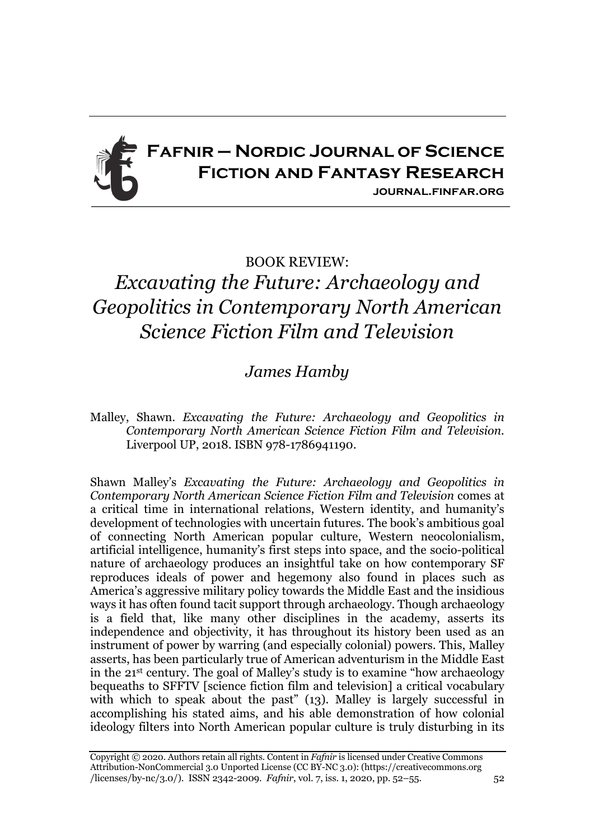

## BOOK REVIEW:

## *Excavating the Future: Archaeology and Geopolitics in Contemporary North American Science Fiction Film and Television*

## *James Hamby*

Malley, Shawn. *Excavating the Future: Archaeology and Geopolitics in Contemporary North American Science Fiction Film and Television.* Liverpool UP, 2018. ISBN 978-1786941190.

Shawn Malley's *Excavating the Future: Archaeology and Geopolitics in Contemporary North American Science Fiction Film and Television* comes at a critical time in international relations, Western identity, and humanity's development of technologies with uncertain futures. The book's ambitious goal of connecting North American popular culture, Western neocolonialism, artificial intelligence, humanity's first steps into space, and the socio-political nature of archaeology produces an insightful take on how contemporary SF reproduces ideals of power and hegemony also found in places such as America's aggressive military policy towards the Middle East and the insidious ways it has often found tacit support through archaeology. Though archaeology is a field that, like many other disciplines in the academy, asserts its independence and objectivity, it has throughout its history been used as an instrument of power by warring (and especially colonial) powers. This, Malley asserts, has been particularly true of American adventurism in the Middle East in the 21st century. The goal of Malley's study is to examine "how archaeology bequeaths to SFFTV [science fiction film and television] a critical vocabulary with which to speak about the past" (13). Malley is largely successful in accomplishing his stated aims, and his able demonstration of how colonial ideology filters into North American popular culture is truly disturbing in its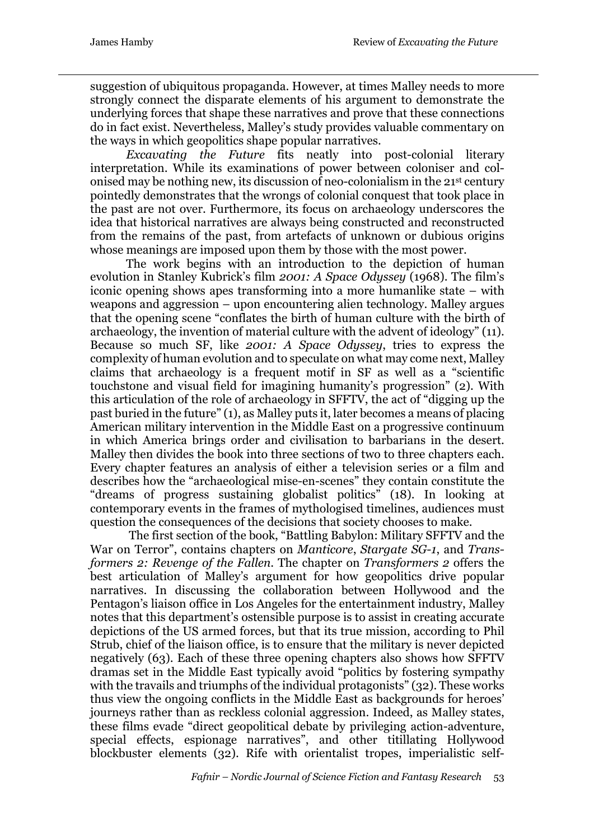suggestion of ubiquitous propaganda. However, at times Malley needs to more strongly connect the disparate elements of his argument to demonstrate the underlying forces that shape these narratives and prove that these connections do in fact exist. Nevertheless, Malley's study provides valuable commentary on the ways in which geopolitics shape popular narratives.

*Excavating the Future* fits neatly into post-colonial literary interpretation. While its examinations of power between coloniser and colonised may be nothing new, its discussion of neo-colonialism in the 21st century pointedly demonstrates that the wrongs of colonial conquest that took place in the past are not over. Furthermore, its focus on archaeology underscores the idea that historical narratives are always being constructed and reconstructed from the remains of the past, from artefacts of unknown or dubious origins whose meanings are imposed upon them by those with the most power.

The work begins with an introduction to the depiction of human evolution in Stanley Kubrick's film *2001: A Space Odyssey* (1968). The film's iconic opening shows apes transforming into a more humanlike state – with weapons and aggression – upon encountering alien technology. Malley argues that the opening scene "conflates the birth of human culture with the birth of archaeology, the invention of material culture with the advent of ideology" (11). Because so much SF, like *2001: A Space Odyssey*, tries to express the complexity of human evolution and to speculate on what may come next, Malley claims that archaeology is a frequent motif in SF as well as a "scientific touchstone and visual field for imagining humanity's progression" (2). With this articulation of the role of archaeology in SFFTV, the act of "digging up the past buried in the future" (1), as Malley puts it, later becomes a means of placing American military intervention in the Middle East on a progressive continuum in which America brings order and civilisation to barbarians in the desert. Malley then divides the book into three sections of two to three chapters each. Every chapter features an analysis of either a television series or a film and describes how the "archaeological mise-en-scenes" they contain constitute the "dreams of progress sustaining globalist politics" (18). In looking at contemporary events in the frames of mythologised timelines, audiences must question the consequences of the decisions that society chooses to make.

The first section of the book, "Battling Babylon: Military SFFTV and the War on Terror", contains chapters on *Manticore*, *Stargate SG-1*, and *Transformers 2: Revenge of the Fallen*. The chapter on *Transformers 2* offers the best articulation of Malley's argument for how geopolitics drive popular narratives. In discussing the collaboration between Hollywood and the Pentagon's liaison office in Los Angeles for the entertainment industry, Malley notes that this department's ostensible purpose is to assist in creating accurate depictions of the US armed forces, but that its true mission, according to Phil Strub, chief of the liaison office, is to ensure that the military is never depicted negatively (63). Each of these three opening chapters also shows how SFFTV dramas set in the Middle East typically avoid "politics by fostering sympathy with the travails and triumphs of the individual protagonists" (32). These works thus view the ongoing conflicts in the Middle East as backgrounds for heroes' journeys rather than as reckless colonial aggression. Indeed, as Malley states, these films evade "direct geopolitical debate by privileging action-adventure, special effects, espionage narratives", and other titillating Hollywood blockbuster elements (32). Rife with orientalist tropes, imperialistic self-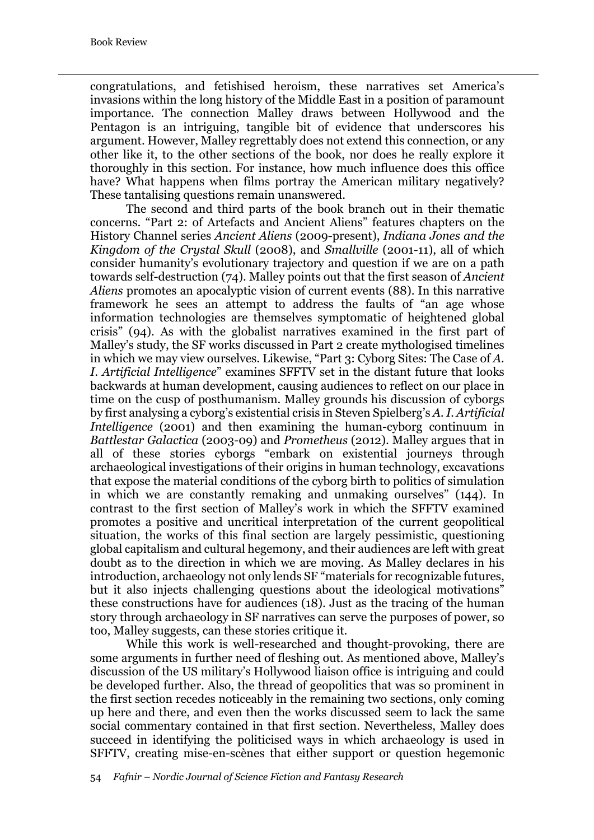congratulations, and fetishised heroism, these narratives set America's invasions within the long history of the Middle East in a position of paramount importance. The connection Malley draws between Hollywood and the Pentagon is an intriguing, tangible bit of evidence that underscores his argument. However, Malley regrettably does not extend this connection, or any other like it, to the other sections of the book, nor does he really explore it thoroughly in this section. For instance, how much influence does this office have? What happens when films portray the American military negatively? These tantalising questions remain unanswered.

The second and third parts of the book branch out in their thematic concerns. "Part 2: of Artefacts and Ancient Aliens" features chapters on the History Channel series *Ancient Aliens* (2009-present), *Indiana Jones and the Kingdom of the Crystal Skull* (2008), and *Smallville* (2001-11), all of which consider humanity's evolutionary trajectory and question if we are on a path towards self-destruction (74). Malley points out that the first season of *Ancient Aliens* promotes an apocalyptic vision of current events (88). In this narrative framework he sees an attempt to address the faults of "an age whose information technologies are themselves symptomatic of heightened global crisis" (94). As with the globalist narratives examined in the first part of Malley's study, the SF works discussed in Part 2 create mythologised timelines in which we may view ourselves. Likewise, "Part 3: Cyborg Sites: The Case of *A. I. Artificial Intelligence*" examines SFFTV set in the distant future that looks backwards at human development, causing audiences to reflect on our place in time on the cusp of posthumanism. Malley grounds his discussion of cyborgs by first analysing a cyborg's existential crisis in Steven Spielberg's *A. I. Artificial Intelligence* (2001) and then examining the human-cyborg continuum in *Battlestar Galactica* (2003-09) and *Prometheus* (2012). Malley argues that in all of these stories cyborgs "embark on existential journeys through archaeological investigations of their origins in human technology, excavations that expose the material conditions of the cyborg birth to politics of simulation in which we are constantly remaking and unmaking ourselves" (144). In contrast to the first section of Malley's work in which the SFFTV examined promotes a positive and uncritical interpretation of the current geopolitical situation, the works of this final section are largely pessimistic, questioning global capitalism and cultural hegemony, and their audiences are left with great doubt as to the direction in which we are moving. As Malley declares in his introduction, archaeology not only lends SF "materials for recognizable futures, but it also injects challenging questions about the ideological motivations" these constructions have for audiences (18). Just as the tracing of the human story through archaeology in SF narratives can serve the purposes of power, so too, Malley suggests, can these stories critique it.

While this work is well-researched and thought-provoking, there are some arguments in further need of fleshing out. As mentioned above, Malley's discussion of the US military's Hollywood liaison office is intriguing and could be developed further. Also, the thread of geopolitics that was so prominent in the first section recedes noticeably in the remaining two sections, only coming up here and there, and even then the works discussed seem to lack the same social commentary contained in that first section. Nevertheless, Malley does succeed in identifying the politicised ways in which archaeology is used in SFFTV, creating mise-en-scènes that either support or question hegemonic